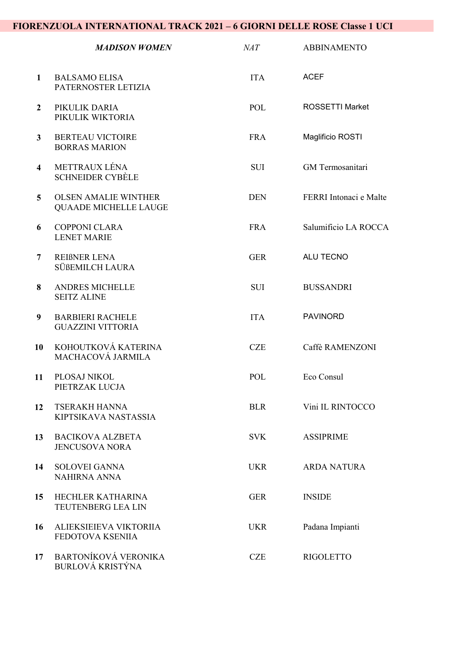## FIORENZUOLA INTERNATIONAL TRACK 2021 – 6 GIORNI DELLE ROSE Classe 1 UCI

|                         | <b>MADISON WOMEN</b>                                        | MAT        | <b>ABBINAMENTO</b>      |
|-------------------------|-------------------------------------------------------------|------------|-------------------------|
| 1                       | <b>BALSAMO ELISA</b><br>PATERNOSTER LETIZIA                 | <b>ITA</b> | <b>ACEF</b>             |
| $\overline{2}$          | PIKULIK DARIA<br>PIKULIK WIKTORIA                           | POL        | <b>ROSSETTI Market</b>  |
| $\mathbf{3}$            | <b>BERTEAU VICTOIRE</b><br><b>BORRAS MARION</b>             | <b>FRA</b> | Maglificio ROSTI        |
| $\overline{\mathbf{4}}$ | METTRAUX LÉNA<br><b>SCHNEIDER CYBÈLE</b>                    | <b>SUI</b> | <b>GM</b> Termosanitari |
| $5\overline{)}$         | <b>OLSEN AMALIE WINTHER</b><br><b>QUAADE MICHELLE LAUGE</b> | <b>DEN</b> | FERRI Intonaci e Malte  |
| 6                       | <b>COPPONI CLARA</b><br><b>LENET MARIE</b>                  | <b>FRA</b> | Salumificio LA ROCCA    |
| 7                       | <b>REIBNER LENA</b><br>SÜßEMILCH LAURA                      | <b>GER</b> | ALU TECNO               |
| 8                       | <b>ANDRES MICHELLE</b><br><b>SEITZ ALINE</b>                | <b>SUI</b> | <b>BUSSANDRI</b>        |
| 9                       | <b>BARBIERI RACHELE</b><br><b>GUAZZINI VITTORIA</b>         | <b>ITA</b> | <b>PAVINORD</b>         |
| 10                      | KOHOUTKOVÁ KATERINA<br>MACHACOVÁ JARMILA                    | <b>CZE</b> | Caffè RAMENZONI         |
| 11                      | PLOSAJ NIKOL<br>PIETRZAK LUCJA                              | <b>POL</b> | Eco Consul              |
| 12                      | <b>TSERAKH HANNA</b><br>KIPTSIKAVA NASTASSIA                | <b>BLR</b> | Vini IL RINTOCCO        |
| 13                      | <b>BACIKOVA ALZBETA</b><br><b>JENCUSOVA NORA</b>            | <b>SVK</b> | <b>ASSIPRIME</b>        |
| 14                      | <b>SOLOVEI GANNA</b><br><b>NAHIRNA ANNA</b>                 | <b>UKR</b> | <b>ARDA NATURA</b>      |
| 15                      | HECHLER KATHARINA<br>TEUTENBERG LEA LIN                     | <b>GER</b> | <b>INSIDE</b>           |
| 16                      | ALIEKSIEIEVA VIKTORIIA<br>FEDOTOVA KSENIIA                  | <b>UKR</b> | Padana Impianti         |
| 17                      | <b>BARTONÍKOVÁ VERONIKA</b><br>BURLOVÁ KRISTÝNA             | <b>CZE</b> | <b>RIGOLETTO</b>        |